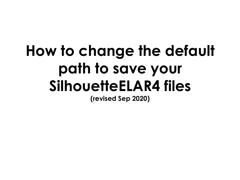# **How to change the default path to save your SilhouetteELAR4 files**

**(revised Sep 2020)**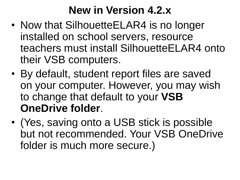## **New in Version 4.2.x**

- Now that SilhouetteELAR4 is no longer installed on school servers, resource teachers must install SilhouetteELAR4 onto their VSB computers.
- By default, student report files are saved on your computer. However, you may wish to change that default to your **VSB OneDrive folder**.
- (Yes, saving onto a USB stick is possible but not recommended. Your VSB OneDrive folder is much more secure.)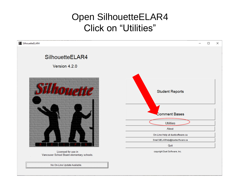#### **Open SilhouetteELAR4 Click on "Utilities"**



No On-Line Update Available.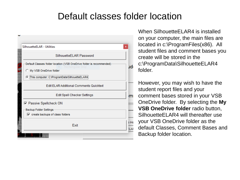#### Default classes folder location



When SilhouetteFI AR4 is installed on your computer, the main files are located in c:\ProgramFiles(x86). All student files and comment bases you create will be stored in the c:\ProgramData\SilhouetteELAR4 folder.

However, you may wish to have the student report files and your comment bases stored in your VSB OneDrive folder. By selecting the **My VSB OneDrive folder** radio button, SilhouetteELAR4 will thereafter use your VSB OneDrive folder as the default Classes, Comment Bases and Backup folder location.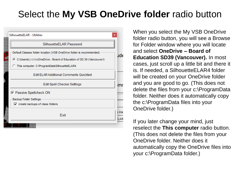### Select the **My VSB OneDrive folder** radio button



When you select the My VSB OneDrive folder radio button, you will see a Browse for Folder window where you will locate and select **OneDrive – Board of Education SD39 (Vancouver).** In most cases, just scroll up a little bit and there it is. If needed, a SilhouetteELAR4 folder will be created on your OneDrive folder and you are good to go. (This does not delete the files from your c:\ProgramData folder. Neither does it automatically copy the c:\ProgramData files into your OneDrive folder.)

If you later change your mind, just reselect the **This computer** radio button. (This does not delete the files from your OneDrive folder. Neither does it automatically copy the OneDrive files into your c:\ProgramData folder.)